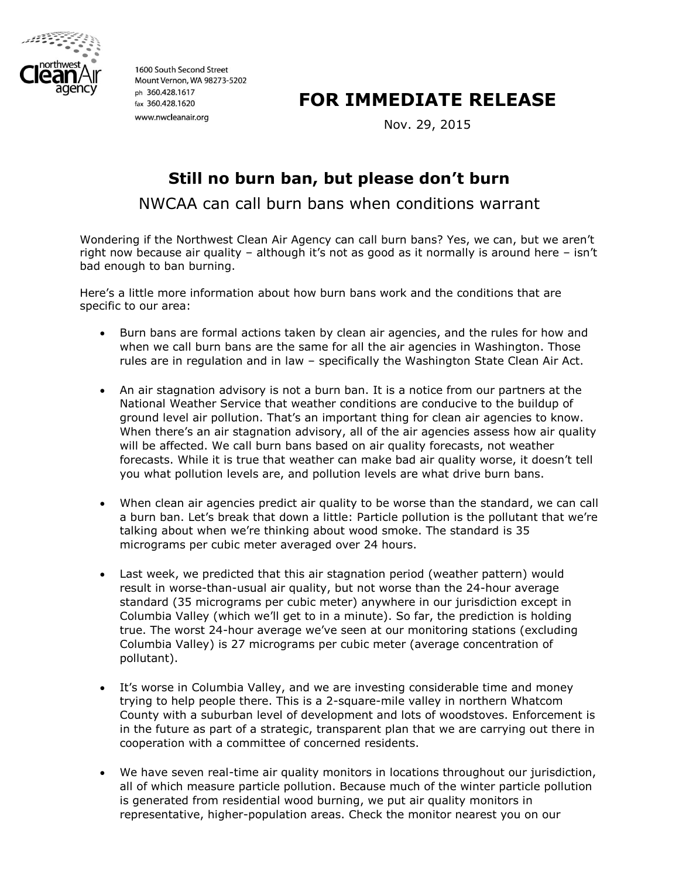

1600 South Second Street Mount Vernon, WA 98273-5202 ph 360.428.1617 fax 360.428.1620 www.nwcleanair.org

## **FOR IMMEDIATE RELEASE**

Nov. 29, 2015

## **Still no burn ban, but please don't burn**

NWCAA can call burn bans when conditions warrant

Wondering if the Northwest Clean Air Agency can call burn bans? Yes, we can, but we aren't right now because air quality – although it's not as good as it normally is around here – isn't bad enough to ban burning.

Here's a little more information about how burn bans work and the conditions that are specific to our area:

- Burn bans are formal actions taken by clean air agencies, and the rules for how and when we call burn bans are the same for all the air agencies in Washington. Those rules are in regulation and in law – specifically the Washington State Clean Air Act.
- An air stagnation advisory is not a burn ban. It is a notice from our partners at the National Weather Service that weather conditions are conducive to the buildup of ground level air pollution. That's an important thing for clean air agencies to know. When there's an air stagnation advisory, all of the air agencies assess how air quality will be affected. We call burn bans based on air quality forecasts, not weather forecasts. While it is true that weather can make bad air quality worse, it doesn't tell you what pollution levels are, and pollution levels are what drive burn bans.
- When clean air agencies predict air quality to be worse than the standard, we can call a burn ban. Let's break that down a little: Particle pollution is the pollutant that we're talking about when we're thinking about wood smoke. The standard is 35 micrograms per cubic meter averaged over 24 hours.
- Last week, we predicted that this air stagnation period (weather pattern) would result in worse-than-usual air quality, but not worse than the 24-hour average standard (35 micrograms per cubic meter) anywhere in our jurisdiction except in Columbia Valley (which we'll get to in a minute). So far, the prediction is holding true. The worst 24-hour average we've seen at our monitoring stations (excluding Columbia Valley) is 27 micrograms per cubic meter (average concentration of pollutant).
- It's worse in Columbia Valley, and we are investing considerable time and money trying to help people there. This is a 2-square-mile valley in northern Whatcom County with a suburban level of development and lots of woodstoves. Enforcement is in the future as part of a strategic, transparent plan that we are carrying out there in cooperation with a committee of concerned residents.
- We have seven real-time air quality monitors in locations throughout our jurisdiction, all of which measure particle pollution. Because much of the winter particle pollution is generated from residential wood burning, we put air quality monitors in representative, higher-population areas. Check the monitor nearest you on our